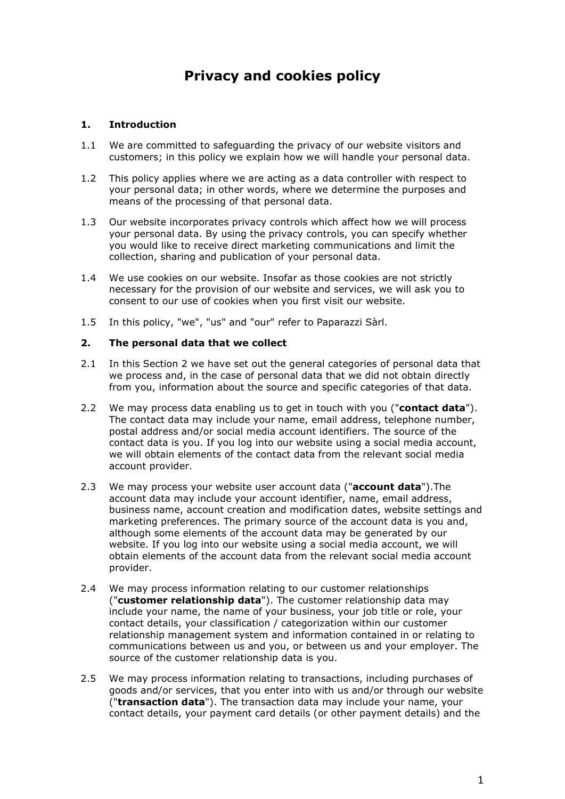# **Privacy and cookies policy**

# **1. Introduction**

- 1.1 We are committed to safeguarding the privacy of our website visitors and customers; in this policy we explain how we will handle your personal data.
- 1.2 This policy applies where we are acting as a data controller with respect to your personal data; in other words, where we determine the purposes and means of the processing of that personal data.
- 1.3 Our website incorporates privacy controls which affect how we will process your personal data. By using the privacy controls, you can specify whether you would like to receive direct marketing communications and limit the collection, sharing and publication of your personal data.
- 1.4 We use cookies on our website. Insofar as those cookies are not strictly necessary for the provision of our website and services, we will ask you to consent to our use of cookies when you first visit our website.
- 1.5 In this policy, "we", "us" and "our" refer to Paparazzi Sàrl.

#### **2. The personal data that we collect**

- 2.1 In this Section 2 we have set out the general categories of personal data that we process and, in the case of personal data that we did not obtain directly from you, information about the source and specific categories of that data.
- 2.2 We may process data enabling us to get in touch with you ("**contact data**"). The contact data may include your name, email address, telephone number, postal address and/or social media account identifiers. The source of the contact data is you. If you log into our website using a social media account, we will obtain elements of the contact data from the relevant social media account provider.
- 2.3 We may process your website user account data ("**account data**").The account data may include your account identifier, name, email address, business name, account creation and modification dates, website settings and marketing preferences. The primary source of the account data is you and, although some elements of the account data may be generated by our website. If you log into our website using a social media account, we will obtain elements of the account data from the relevant social media account provider.
- 2.4 We may process information relating to our customer relationships ("**customer relationship data**"). The customer relationship data may include your name, the name of your business, your job title or role, your contact details, your classification / categorization within our customer relationship management system and information contained in or relating to communications between us and you, or between us and your employer. The source of the customer relationship data is you.
- 2.5 We may process information relating to transactions, including purchases of goods and/or services, that you enter into with us and/or through our website ("**transaction data**"). The transaction data may include your name, your contact details, your payment card details (or other payment details) and the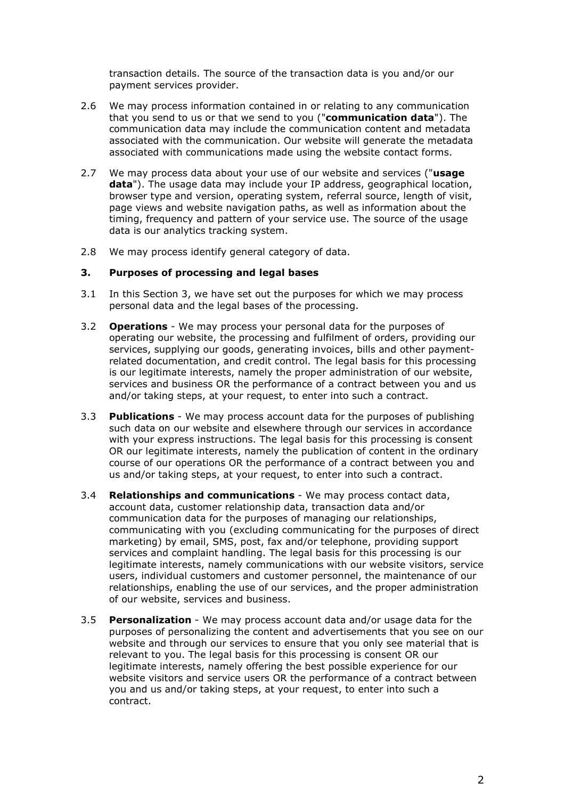transaction details. The source of the transaction data is you and/or our payment services provider.

- 2.6 We may process information contained in or relating to any communication that you send to us or that we send to you ("**communication data**"). The communication data may include the communication content and metadata associated with the communication. Our website will generate the metadata associated with communications made using the website contact forms.
- 2.7 We may process data about your use of our website and services ("**usage data**"). The usage data may include your IP address, geographical location, browser type and version, operating system, referral source, length of visit, page views and website navigation paths, as well as information about the timing, frequency and pattern of your service use. The source of the usage data is our analytics tracking system.
- 2.8 We may process identify general category of data.

## **3. Purposes of processing and legal bases**

- 3.1 In this Section 3, we have set out the purposes for which we may process personal data and the legal bases of the processing.
- 3.2 **Operations**  We may process your personal data for the purposes of operating our website, the processing and fulfilment of orders, providing our services, supplying our goods, generating invoices, bills and other paymentrelated documentation, and credit control. The legal basis for this processing is our legitimate interests, namely the proper administration of our website, services and business OR the performance of a contract between you and us and/or taking steps, at your request, to enter into such a contract.
- 3.3 **Publications**  We may process account data for the purposes of publishing such data on our website and elsewhere through our services in accordance with your express instructions. The legal basis for this processing is consent OR our legitimate interests, namely the publication of content in the ordinary course of our operations OR the performance of a contract between you and us and/or taking steps, at your request, to enter into such a contract.
- 3.4 **Relationships and communications** We may process contact data, account data, customer relationship data, transaction data and/or communication data for the purposes of managing our relationships, communicating with you (excluding communicating for the purposes of direct marketing) by email, SMS, post, fax and/or telephone, providing support services and complaint handling. The legal basis for this processing is our legitimate interests, namely communications with our website visitors, service users, individual customers and customer personnel, the maintenance of our relationships, enabling the use of our services, and the proper administration of our website, services and business.
- 3.5 **Personalization**  We may process account data and/or usage data for the purposes of personalizing the content and advertisements that you see on our website and through our services to ensure that you only see material that is relevant to you. The legal basis for this processing is consent OR our legitimate interests, namely offering the best possible experience for our website visitors and service users OR the performance of a contract between you and us and/or taking steps, at your request, to enter into such a contract.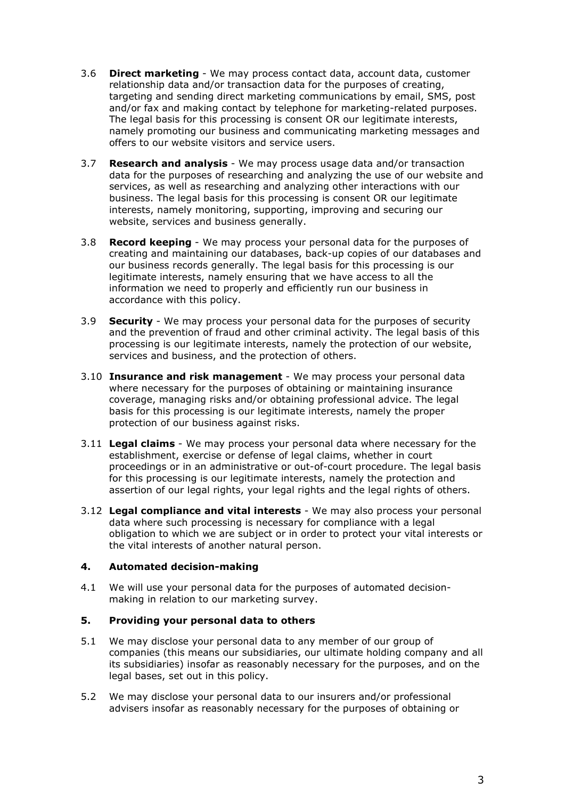- 3.6 **Direct marketing**  We may process contact data, account data, customer relationship data and/or transaction data for the purposes of creating, targeting and sending direct marketing communications by email, SMS, post and/or fax and making contact by telephone for marketing-related purposes. The legal basis for this processing is consent OR our legitimate interests, namely promoting our business and communicating marketing messages and offers to our website visitors and service users.
- 3.7 **Research and analysis**  We may process usage data and/or transaction data for the purposes of researching and analyzing the use of our website and services, as well as researching and analyzing other interactions with our business. The legal basis for this processing is consent OR our legitimate interests, namely monitoring, supporting, improving and securing our website, services and business generally.
- 3.8 **Record keeping**  We may process your personal data for the purposes of creating and maintaining our databases, back-up copies of our databases and our business records generally. The legal basis for this processing is our legitimate interests, namely ensuring that we have access to all the information we need to properly and efficiently run our business in accordance with this policy.
- 3.9 **Security**  We may process your personal data for the purposes of security and the prevention of fraud and other criminal activity. The legal basis of this processing is our legitimate interests, namely the protection of our website, services and business, and the protection of others.
- 3.10 **Insurance and risk management** We may process your personal data where necessary for the purposes of obtaining or maintaining insurance coverage, managing risks and/or obtaining professional advice. The legal basis for this processing is our legitimate interests, namely the proper protection of our business against risks.
- 3.11 **Legal claims** We may process your personal data where necessary for the establishment, exercise or defense of legal claims, whether in court proceedings or in an administrative or out-of-court procedure. The legal basis for this processing is our legitimate interests, namely the protection and assertion of our legal rights, your legal rights and the legal rights of others.
- 3.12 **Legal compliance and vital interests** We may also process your personal data where such processing is necessary for compliance with a legal obligation to which we are subject or in order to protect your vital interests or the vital interests of another natural person.

# **4. Automated decision-making**

4.1 We will use your personal data for the purposes of automated decisionmaking in relation to our marketing survey.

# **5. Providing your personal data to others**

- 5.1 We may disclose your personal data to any member of our group of companies (this means our subsidiaries, our ultimate holding company and all its subsidiaries) insofar as reasonably necessary for the purposes, and on the legal bases, set out in this policy.
- 5.2 We may disclose your personal data to our insurers and/or professional advisers insofar as reasonably necessary for the purposes of obtaining or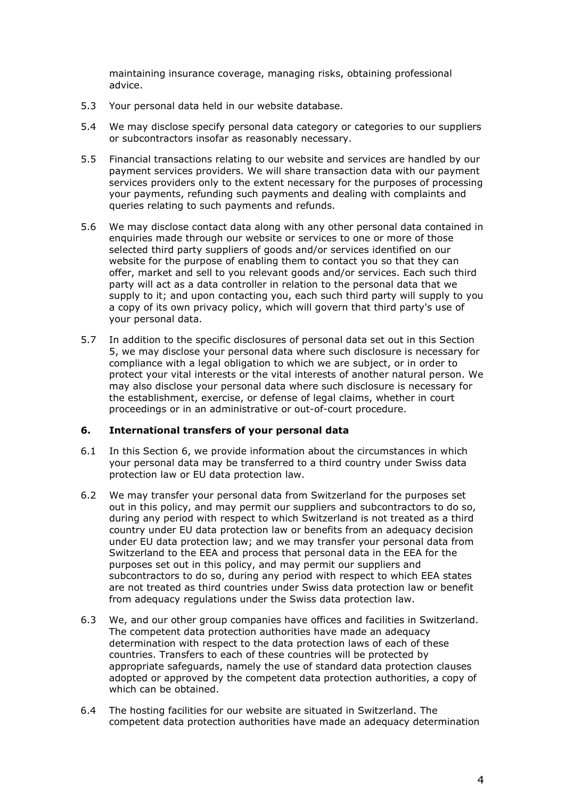maintaining insurance coverage, managing risks, obtaining professional advice.

- 5.3 Your personal data held in our website database.
- 5.4 We may disclose specify personal data category or categories to our suppliers or subcontractors insofar as reasonably necessary.
- 5.5 Financial transactions relating to our website and services are handled by our payment services providers. We will share transaction data with our payment services providers only to the extent necessary for the purposes of processing your payments, refunding such payments and dealing with complaints and queries relating to such payments and refunds.
- 5.6 We may disclose contact data along with any other personal data contained in enquiries made through our website or services to one or more of those selected third party suppliers of goods and/or services identified on our website for the purpose of enabling them to contact you so that they can offer, market and sell to you relevant goods and/or services. Each such third party will act as a data controller in relation to the personal data that we supply to it; and upon contacting you, each such third party will supply to you a copy of its own privacy policy, which will govern that third party's use of your personal data.
- 5.7 In addition to the specific disclosures of personal data set out in this Section 5, we may disclose your personal data where such disclosure is necessary for compliance with a legal obligation to which we are subject, or in order to protect your vital interests or the vital interests of another natural person. We may also disclose your personal data where such disclosure is necessary for the establishment, exercise, or defense of legal claims, whether in court proceedings or in an administrative or out-of-court procedure.

## **6. International transfers of your personal data**

- 6.1 In this Section 6, we provide information about the circumstances in which your personal data may be transferred to a third country under Swiss data protection law or EU data protection law.
- 6.2 We may transfer your personal data from Switzerland for the purposes set out in this policy, and may permit our suppliers and subcontractors to do so, during any period with respect to which Switzerland is not treated as a third country under EU data protection law or benefits from an adequacy decision under EU data protection law; and we may transfer your personal data from Switzerland to the EEA and process that personal data in the EEA for the purposes set out in this policy, and may permit our suppliers and subcontractors to do so, during any period with respect to which EEA states are not treated as third countries under Swiss data protection law or benefit from adequacy regulations under the Swiss data protection law.
- 6.3 We, and our other group companies have offices and facilities in Switzerland. The competent data protection authorities have made an adequacy determination with respect to the data protection laws of each of these countries. Transfers to each of these countries will be protected by appropriate safeguards, namely the use of standard data protection clauses adopted or approved by the competent data protection authorities, a copy of which can be obtained.
- 6.4 The hosting facilities for our website are situated in Switzerland. The competent data protection authorities have made an adequacy determination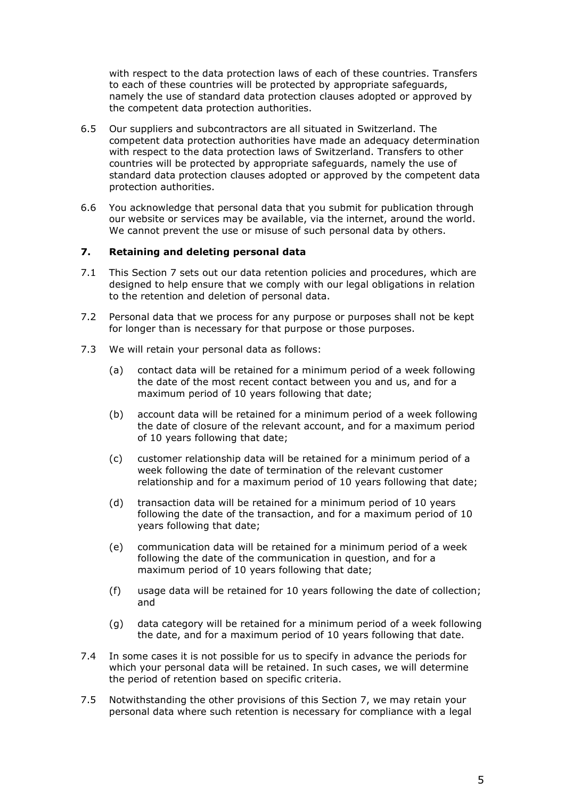with respect to the data protection laws of each of these countries. Transfers to each of these countries will be protected by appropriate safeguards, namely the use of standard data protection clauses adopted or approved by the competent data protection authorities.

- 6.5 Our suppliers and subcontractors are all situated in Switzerland. The competent data protection authorities have made an adequacy determination with respect to the data protection laws of Switzerland. Transfers to other countries will be protected by appropriate safeguards, namely the use of standard data protection clauses adopted or approved by the competent data protection authorities.
- 6.6 You acknowledge that personal data that you submit for publication through our website or services may be available, via the internet, around the world. We cannot prevent the use or misuse of such personal data by others.

## **7. Retaining and deleting personal data**

- 7.1 This Section 7 sets out our data retention policies and procedures, which are designed to help ensure that we comply with our legal obligations in relation to the retention and deletion of personal data.
- 7.2 Personal data that we process for any purpose or purposes shall not be kept for longer than is necessary for that purpose or those purposes.
- 7.3 We will retain your personal data as follows:
	- (a) contact data will be retained for a minimum period of a week following the date of the most recent contact between you and us, and for a maximum period of 10 years following that date;
	- (b) account data will be retained for a minimum period of a week following the date of closure of the relevant account, and for a maximum period of 10 years following that date;
	- (c) customer relationship data will be retained for a minimum period of a week following the date of termination of the relevant customer relationship and for a maximum period of 10 years following that date;
	- (d) transaction data will be retained for a minimum period of 10 years following the date of the transaction, and for a maximum period of 10 years following that date;
	- (e) communication data will be retained for a minimum period of a week following the date of the communication in question, and for a maximum period of 10 years following that date;
	- (f) usage data will be retained for 10 years following the date of collection; and
	- (g) data category will be retained for a minimum period of a week following the date, and for a maximum period of 10 years following that date.
- 7.4 In some cases it is not possible for us to specify in advance the periods for which your personal data will be retained. In such cases, we will determine the period of retention based on specific criteria.
- 7.5 Notwithstanding the other provisions of this Section 7, we may retain your personal data where such retention is necessary for compliance with a legal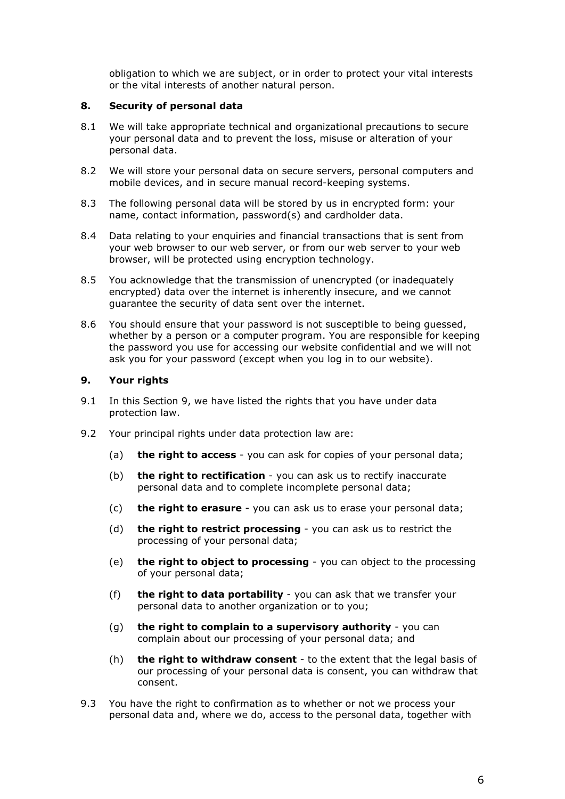obligation to which we are subject, or in order to protect your vital interests or the vital interests of another natural person.

## **8. Security of personal data**

- 8.1 We will take appropriate technical and organizational precautions to secure your personal data and to prevent the loss, misuse or alteration of your personal data.
- 8.2 We will store your personal data on secure servers, personal computers and mobile devices, and in secure manual record-keeping systems.
- 8.3 The following personal data will be stored by us in encrypted form: your name, contact information, password(s) and cardholder data.
- 8.4 Data relating to your enquiries and financial transactions that is sent from your web browser to our web server, or from our web server to your web browser, will be protected using encryption technology.
- 8.5 You acknowledge that the transmission of unencrypted (or inadequately encrypted) data over the internet is inherently insecure, and we cannot guarantee the security of data sent over the internet.
- 8.6 You should ensure that your password is not susceptible to being guessed, whether by a person or a computer program. You are responsible for keeping the password you use for accessing our website confidential and we will not ask you for your password (except when you log in to our website).

## **9. Your rights**

- 9.1 In this Section 9, we have listed the rights that you have under data protection law.
- 9.2 Your principal rights under data protection law are:
	- (a) **the right to access** you can ask for copies of your personal data;
	- (b) **the right to rectification** you can ask us to rectify inaccurate personal data and to complete incomplete personal data;
	- (c) **the right to erasure** you can ask us to erase your personal data;
	- (d) **the right to restrict processing** you can ask us to restrict the processing of your personal data;
	- (e) **the right to object to processing** you can object to the processing of your personal data;
	- (f) **the right to data portability** you can ask that we transfer your personal data to another organization or to you;
	- (g) **the right to complain to a supervisory authority** you can complain about our processing of your personal data; and
	- (h) **the right to withdraw consent** to the extent that the legal basis of our processing of your personal data is consent, you can withdraw that consent.
- 9.3 You have the right to confirmation as to whether or not we process your personal data and, where we do, access to the personal data, together with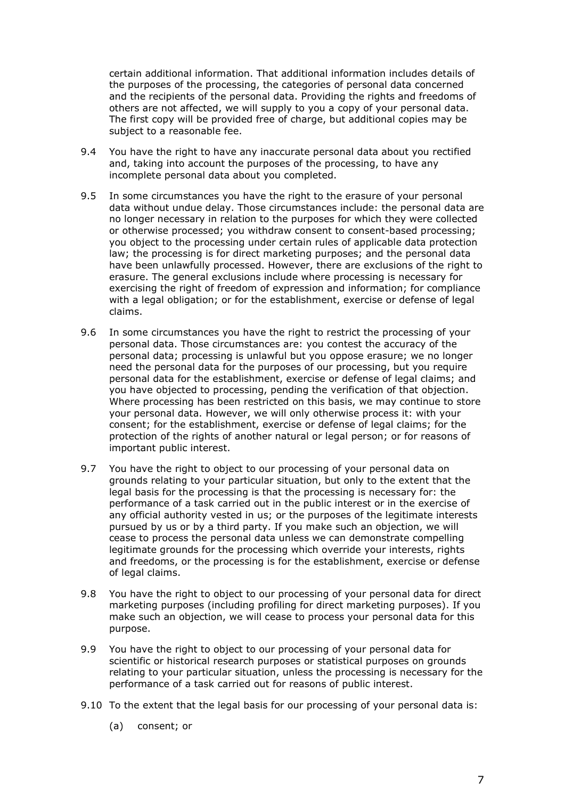certain additional information. That additional information includes details of the purposes of the processing, the categories of personal data concerned and the recipients of the personal data. Providing the rights and freedoms of others are not affected, we will supply to you a copy of your personal data. The first copy will be provided free of charge, but additional copies may be subject to a reasonable fee.

- 9.4 You have the right to have any inaccurate personal data about you rectified and, taking into account the purposes of the processing, to have any incomplete personal data about you completed.
- 9.5 In some circumstances you have the right to the erasure of your personal data without undue delay. Those circumstances include: the personal data are no longer necessary in relation to the purposes for which they were collected or otherwise processed; you withdraw consent to consent-based processing; you object to the processing under certain rules of applicable data protection law; the processing is for direct marketing purposes; and the personal data have been unlawfully processed. However, there are exclusions of the right to erasure. The general exclusions include where processing is necessary for exercising the right of freedom of expression and information; for compliance with a legal obligation; or for the establishment, exercise or defense of legal claims.
- 9.6 In some circumstances you have the right to restrict the processing of your personal data. Those circumstances are: you contest the accuracy of the personal data; processing is unlawful but you oppose erasure; we no longer need the personal data for the purposes of our processing, but you require personal data for the establishment, exercise or defense of legal claims; and you have objected to processing, pending the verification of that objection. Where processing has been restricted on this basis, we may continue to store your personal data. However, we will only otherwise process it: with your consent; for the establishment, exercise or defense of legal claims; for the protection of the rights of another natural or legal person; or for reasons of important public interest.
- 9.7 You have the right to object to our processing of your personal data on grounds relating to your particular situation, but only to the extent that the legal basis for the processing is that the processing is necessary for: the performance of a task carried out in the public interest or in the exercise of any official authority vested in us; or the purposes of the legitimate interests pursued by us or by a third party. If you make such an objection, we will cease to process the personal data unless we can demonstrate compelling legitimate grounds for the processing which override your interests, rights and freedoms, or the processing is for the establishment, exercise or defense of legal claims.
- 9.8 You have the right to object to our processing of your personal data for direct marketing purposes (including profiling for direct marketing purposes). If you make such an objection, we will cease to process your personal data for this purpose.
- 9.9 You have the right to object to our processing of your personal data for scientific or historical research purposes or statistical purposes on grounds relating to your particular situation, unless the processing is necessary for the performance of a task carried out for reasons of public interest.
- 9.10 To the extent that the legal basis for our processing of your personal data is:
	- (a) consent; or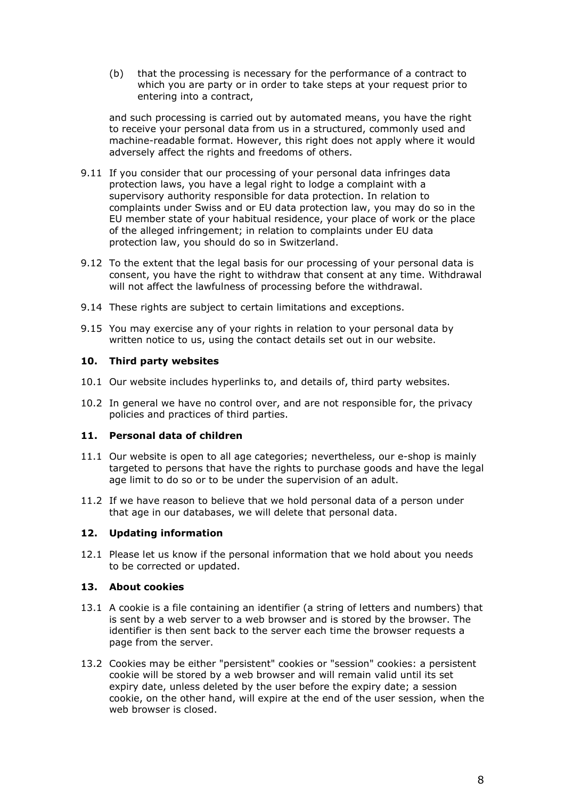(b) that the processing is necessary for the performance of a contract to which you are party or in order to take steps at your request prior to entering into a contract,

and such processing is carried out by automated means, you have the right to receive your personal data from us in a structured, commonly used and machine-readable format. However, this right does not apply where it would adversely affect the rights and freedoms of others.

- 9.11 If you consider that our processing of your personal data infringes data protection laws, you have a legal right to lodge a complaint with a supervisory authority responsible for data protection. In relation to complaints under Swiss and or EU data protection law, you may do so in the EU member state of your habitual residence, your place of work or the place of the alleged infringement; in relation to complaints under EU data protection law, you should do so in Switzerland.
- 9.12 To the extent that the legal basis for our processing of your personal data is consent, you have the right to withdraw that consent at any time. Withdrawal will not affect the lawfulness of processing before the withdrawal.
- 9.14 These rights are subject to certain limitations and exceptions.
- 9.15 You may exercise any of your rights in relation to your personal data by written notice to us, using the contact details set out in our website.

## **10. Third party websites**

- 10.1 Our website includes hyperlinks to, and details of, third party websites.
- 10.2 In general we have no control over, and are not responsible for, the privacy policies and practices of third parties.

## **11. Personal data of children**

- 11.1 Our website is open to all age categories; nevertheless, our e-shop is mainly targeted to persons that have the rights to purchase goods and have the legal age limit to do so or to be under the supervision of an adult.
- 11.2 If we have reason to believe that we hold personal data of a person under that age in our databases, we will delete that personal data.

## **12. Updating information**

12.1 Please let us know if the personal information that we hold about you needs to be corrected or updated.

## **13. About cookies**

- 13.1 A cookie is a file containing an identifier (a string of letters and numbers) that is sent by a web server to a web browser and is stored by the browser. The identifier is then sent back to the server each time the browser requests a page from the server.
- 13.2 Cookies may be either "persistent" cookies or "session" cookies: a persistent cookie will be stored by a web browser and will remain valid until its set expiry date, unless deleted by the user before the expiry date; a session cookie, on the other hand, will expire at the end of the user session, when the web browser is closed.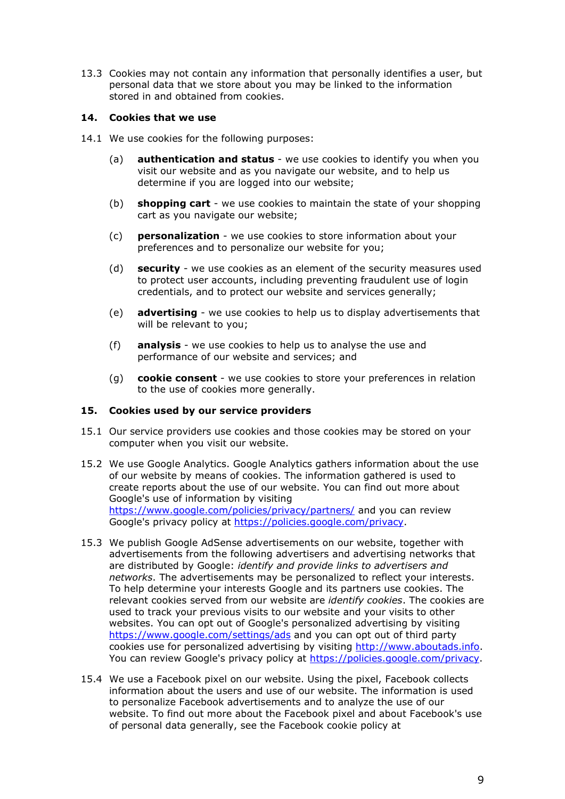13.3 Cookies may not contain any information that personally identifies a user, but personal data that we store about you may be linked to the information stored in and obtained from cookies.

# **14. Cookies that we use**

- 14.1 We use cookies for the following purposes:
	- (a) **authentication and status** we use cookies to identify you when you visit our website and as you navigate our website, and to help us determine if you are logged into our website;
	- (b) **shopping cart** we use cookies to maintain the state of your shopping cart as you navigate our website;
	- (c) **personalization** we use cookies to store information about your preferences and to personalize our website for you;
	- (d) **security** we use cookies as an element of the security measures used to protect user accounts, including preventing fraudulent use of login credentials, and to protect our website and services generally;
	- (e) **advertising** we use cookies to help us to display advertisements that will be relevant to you;
	- (f) **analysis** we use cookies to help us to analyse the use and performance of our website and services; and
	- (g) **cookie consent** we use cookies to store your preferences in relation to the use of cookies more generally.

## **15. Cookies used by our service providers**

- 15.1 Our service providers use cookies and those cookies may be stored on your computer when you visit our website.
- 15.2 We use Google Analytics. Google Analytics gathers information about the use of our website by means of cookies. The information gathered is used to create reports about the use of our website. You can find out more about Google's use of information by visiting <https://www.google.com/policies/privacy/partners/> and you can review Google's privacy policy at [https://policies.google.com/privacy.](https://policies.google.com/privacy)
- 15.3 We publish Google AdSense advertisements on our website, together with advertisements from the following advertisers and advertising networks that are distributed by Google: *identify and provide links to advertisers and networks*. The advertisements may be personalized to reflect your interests. To help determine your interests Google and its partners use cookies. The relevant cookies served from our website are *identify cookies*. The cookies are used to track your previous visits to our website and your visits to other websites. You can opt out of Google's personalized advertising by visiting <https://www.google.com/settings/ads> and you can opt out of third party cookies use for personalized advertising by visiting [http://www.aboutads.info.](http://www.aboutads.info/) You can review Google's privacy policy at [https://policies.google.com/privacy.](https://policies.google.com/privacy)
- 15.4 We use a Facebook pixel on our website. Using the pixel, Facebook collects information about the users and use of our website. The information is used to personalize Facebook advertisements and to analyze the use of our website. To find out more about the Facebook pixel and about Facebook's use of personal data generally, see the Facebook cookie policy at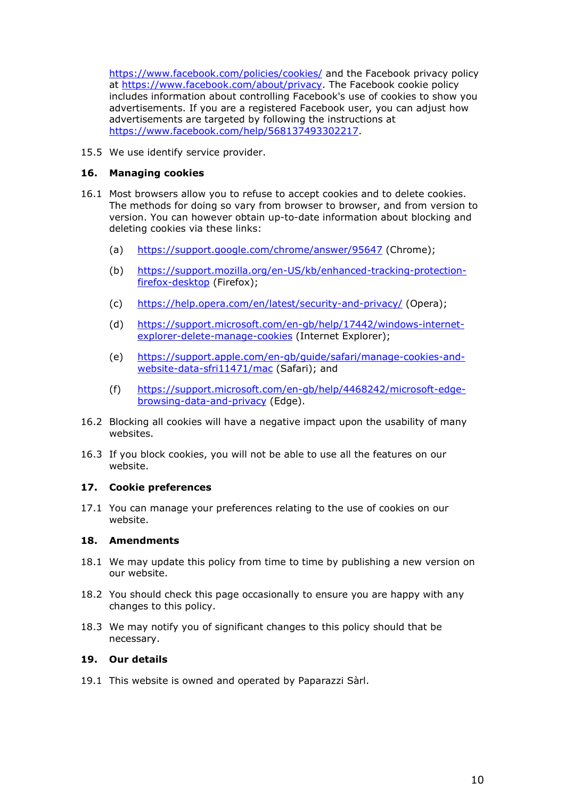<https://www.facebook.com/policies/cookies/> and the Facebook privacy policy at [https://www.facebook.com/about/privacy.](https://www.facebook.com/about/privacy) The Facebook cookie policy includes information about controlling Facebook's use of cookies to show you advertisements. If you are a registered Facebook user, you can adjust how advertisements are targeted by following the instructions at [https://www.facebook.com/help/568137493302217.](https://www.facebook.com/help/568137493302217)

15.5 We use identify service provider.

## **16. Managing cookies**

- 16.1 Most browsers allow you to refuse to accept cookies and to delete cookies. The methods for doing so vary from browser to browser, and from version to version. You can however obtain up-to-date information about blocking and deleting cookies via these links:
	- (a) <https://support.google.com/chrome/answer/95647> (Chrome);
	- (b) [https://support.mozilla.org/en-US/kb/enhanced-tracking-protection](https://support.mozilla.org/en-US/kb/enhanced-tracking-protection-firefox-desktop)[firefox-desktop](https://support.mozilla.org/en-US/kb/enhanced-tracking-protection-firefox-desktop) (Firefox);
	- (c) <https://help.opera.com/en/latest/security-and-privacy/> (Opera);
	- (d) [https://support.microsoft.com/en-gb/help/17442/windows-internet](https://support.microsoft.com/en-gb/help/17442/windows-internet-explorer-delete-manage-cookies)[explorer-delete-manage-cookies](https://support.microsoft.com/en-gb/help/17442/windows-internet-explorer-delete-manage-cookies) (Internet Explorer);
	- (e) [https://support.apple.com/en-gb/guide/safari/manage-cookies-and](https://support.apple.com/en-gb/guide/safari/manage-cookies-and-website-data-sfri11471/mac)[website-data-sfri11471/mac](https://support.apple.com/en-gb/guide/safari/manage-cookies-and-website-data-sfri11471/mac) (Safari); and
	- (f) [https://support.microsoft.com/en-gb/help/4468242/microsoft-edge](https://support.microsoft.com/en-gb/help/4468242/microsoft-edge-browsing-data-and-privacy)[browsing-data-and-privacy](https://support.microsoft.com/en-gb/help/4468242/microsoft-edge-browsing-data-and-privacy) (Edge).
- 16.2 Blocking all cookies will have a negative impact upon the usability of many websites.
- 16.3 If you block cookies, you will not be able to use all the features on our website.

## **17. Cookie preferences**

17.1 You can manage your preferences relating to the use of cookies on our website.

## **18. Amendments**

- 18.1 We may update this policy from time to time by publishing a new version on our website.
- 18.2 You should check this page occasionally to ensure you are happy with any changes to this policy.
- 18.3 We may notify you of significant changes to this policy should that be necessary.

## **19. Our details**

19.1 This website is owned and operated by Paparazzi Sàrl.